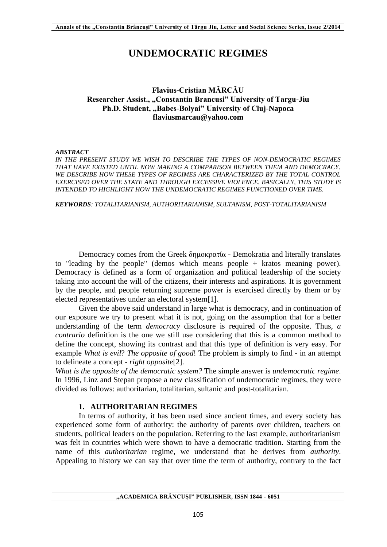# **UNDEMOCRATIC REGIMES**

## **Flavius-Cristian MĂRCĂU Researcher Assist., "Constantin Brancusi" University of Targu-Jiu** Ph.D. Student, "Babes-Bolyai" University of Cluj-Napoca **[flaviusmarcau@yahoo.com](mailto:flaviusmarcau@yahoo.com)**

#### *ABSTRACT*

*IN THE PRESENT STUDY WE WISH TO DESCRIBE THE TYPES OF NON-DEMOCRATIC REGIMES THAT HAVE EXISTED UNTIL NOW MAKING A COMPARISON BETWEEN THEM AND DEMOCRACY.*  WE DESCRIBE HOW THESE TYPES OF REGIMES ARE CHARACTERIZED BY THE TOTAL CONTROL *EXERCISED OVER THE STATE AND THROUGH EXCESSIVE VIOLENCE. BASICALLY, THIS STUDY IS INTENDED TO HIGHLIGHT HOW THE UNDEMOCRATIC REGIMES FUNCTIONED OVER TIME.*

*KEYWORDS: TOTALITARIANISM, AUTHORITARIANISM, SULTANISM, POST-TOTALITARIANISM*

Democracy comes from the Greek δημοκρατία - Demokratia and literally translates to "leading by the people" (demos which means people + kratos meaning power). Democracy is defined as a form of organization and political leadership of the society taking into account the will of the citizens, their interests and aspirations. It is government by the people, and people returning supreme power is exercised directly by them or by elected representatives under an electoral system[1].

Given the above said understand in large what is democracy, and in continuation of our exposure we try to present what it is not, going on the assumption that for a better understanding of the term *democracy* disclosure is required of the opposite. Thus, *a contrario* definition is the one we still use considering that this is a common method to define the concept, showing its contrast and that this type of definition is very easy. For example *What is evil*? *The opposite of good*! The problem is simply to find - in an attempt to delineate a concept - *right opposite*[2].

*What is the opposite of the democratic system?* The simple answer is *undemocratic regime*. In 1996, Linz and Stepan propose a new classification of undemocratic regimes, they were divided as follows: authoritarian, totalitarian, sultanic and post-totalitarian.

#### **1. AUTHORITARIAN REGIMES**

In terms of authority, it has been used since ancient times, and every society has experienced some form of authority: the authority of parents over children, teachers on students, political leaders on the population. Referring to the last example, authoritarianism was felt in countries which were shown to have a democratic tradition. Starting from the name of this *authoritarian* regime, we understand that he derives from *authority*. Appealing to history we can say that over time the term of authority, contrary to the fact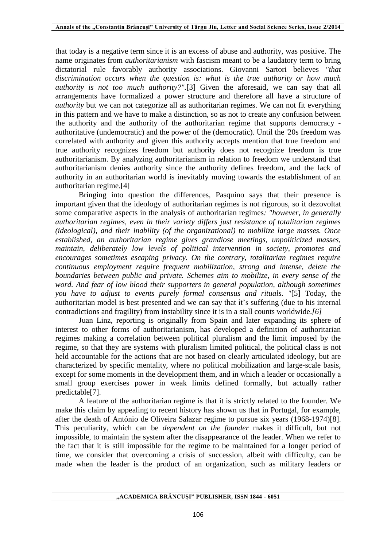that today is a negative term since it is an excess of abuse and authority, was positive. The name originates from *authoritarianism* with fascism meant to be a laudatory term to bring dictatorial rule favorably authority associations. Giovanni Sartori believes *"that discrimination occurs when the question is: what is the true authority or how much authority is not too much authority?".*[3] Given the aforesaid, we can say that all arrangements have formalized a power structure and therefore all have a structure of *authority* but we can not categorize all as authoritarian regimes. We can not fit everything in this pattern and we have to make a distinction, so as not to create any confusion between the authority and the authority of the authoritarian regime that supports democracy authoritative (undemocratic) and the power of the (democratic). Until the '20s freedom was correlated with authority and given this authority accepts mention that true freedom and true authority recognizes freedom but authority does not recognize freedom is true authoritarianism. By analyzing authoritarianism in relation to freedom we understand that authoritarianism denies authority since the authority defines freedom, and the lack of authority in an authoritarian world is inevitably moving towards the establishment of an authoritarian regime.[4]

Bringing into question the differences, Pasquino says that their presence is important given that the ideology of authoritarian regimes is not rigorous, so it dezovoltat some comparative aspects in the analysis of authoritarian regimes*: "however, in generally authoritarian regimes, even in their variety differs just resistance of totalitarian regimes (ideological), and their inability (of the organizational) to mobilize large masses. Once established, an authoritarian regime gives grandiose meetings, unpoliticized masses, maintain, deliberately low levels of political intervention in society, promotes and encourages sometimes escaping privacy. On the contrary, totalitarian regimes require continuous employment require frequent mobilization, strong and intense, delete the boundaries between public and private. Schemes aim to mobilize, in every sense of the word. And fear of low blood their supporters in general population, although sometimes you have to adjust to events purely formal consensus and rituals. "*[5] Today, the authoritarian model is best presented and we can say that it's suffering (due to his internal contradictions and fragility) from instability since it is in a stall counts worldwide.*[6]*

Juan Linz, reporting is originally from Spain and later expanding its sphere of interest to other forms of authoritarianism, has developed a definition of authoritarian regimes making a correlation between political pluralism and the limit imposed by the regime, so that they are systems with pluralism limited political, the political class is not held accountable for the actions that are not based on clearly articulated ideology, but are characterized by specific mentality, where no political mobilization and large-scale basis, except for some moments in the development them, and in which a leader or occasionally a small group exercises power in weak limits defined formally, but actually rather predictable[7].

A feature of the authoritarian regime is that it is strictly related to the founder. We make this claim by appealing to recent history has shown us that in Portugal, for example, after the death of António de Oliveira Salazar regime to pursue six years (1968-1974)[8]. This peculiarity, which can be *dependent on the founder* makes it difficult, but not impossible, to maintain the system after the disappearance of the leader. When we refer to the fact that it is still impossible for the regime to be maintained for a longer period of time, we consider that overcoming a crisis of succession, albeit with difficulty, can be made when the leader is the product of an organization, such as military leaders or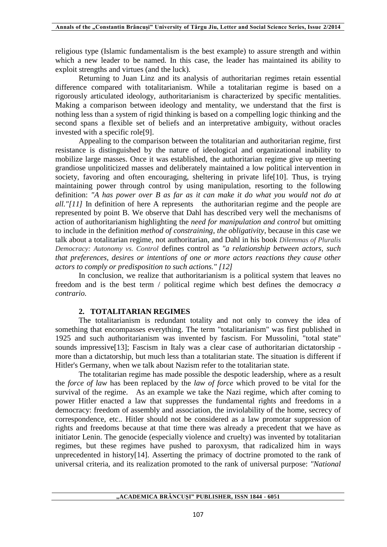religious type (Islamic fundamentalism is the best example) to assure strength and within which a new leader to be named. In this case, the leader has maintained its ability to exploit strengths and virtues (and the luck).

Returning to Juan Linz and its analysis of authoritarian regimes retain essential difference compared with totalitarianism. While a totalitarian regime is based on a rigorously articulated ideology, authoritarianism is characterized by specific mentalities. Making a comparison between ideology and mentality, we understand that the first is nothing less than a system of rigid thinking is based on a compelling logic thinking and the second spans a flexible set of beliefs and an interpretative ambiguity, without oracles invested with a specific role[9].

Appealing to the comparison between the totalitarian and authoritarian regime, first resistance is distinguished by the nature of ideological and organizational inability to mobilize large masses. Once it was established, the authoritarian regime give up meeting grandiose unpoliticized masses and deliberately maintained a low political intervention in society, favoring and often encouraging, sheltering in private life<sup>[10]</sup>. Thus, is trying maintaining power through control by using manipulation, resorting to the following definition: *"A has power over B as far as it can make it do what you would not do at all."[11]* In definition of here A represents the authoritarian regime and the people are represented by point B. We observe that Dahl has described very well the mechanisms of action of authoritarianism highlighting the *need for manipulation and control* but omitting to include in the definition *method of constraining, the obligativity,* because in this case we talk about a totalitarian regime, not authoritarian, and Dahl in his book *Dilemmas of Pluralis Democracy: Autonomy vs. Control* defines control as *"a relationship between actors, such that preferences, desires or intentions of one or more actors reactions they cause other actors to comply or predisposition to such actions." [12]*

In conclusion, we realize that authoritarianism is a political system that leaves no freedom and is the best term / political regime which best defines the democracy *a contrario.*

## **2. TOTALITARIAN REGIMES**

The totalitarianism is redundant totality and not only to convey the idea of something that encompasses everything. The term "totalitarianism" was first published in 1925 and such authoritarianism was invented by fascism. For Mussolini, "total state" sounds impressive[13]; Fascism in Italy was a clear case of authoritarian dictatorship more than a dictatorship, but much less than a totalitarian state. The situation is different if Hitler's Germany, when we talk about Nazism refer to the totalitarian state.

The totalitarian regime has made possible the despotic leadership, where as a result the *force of law* has been replaced by the *law of force* which proved to be vital for the survival of the regime. As an example we take the Nazi regime, which after coming to power Hitler enacted a law that suppresses the fundamental rights and freedoms in a democracy: freedom of assembly and association, the inviolability of the home, secrecy of correspondence, etc.. Hitler should not be considered as a law promotar suppression of rights and freedoms because at that time there was already a precedent that we have as initiator Lenin. The genocide (especially violence and cruelty) was invented by totalitarian regimes, but these regimes have pushed to paroxysm, that radicalized him in ways unprecedented in history[14]. Asserting the primacy of doctrine promoted to the rank of universal criteria, and its realization promoted to the rank of universal purpose: *"National*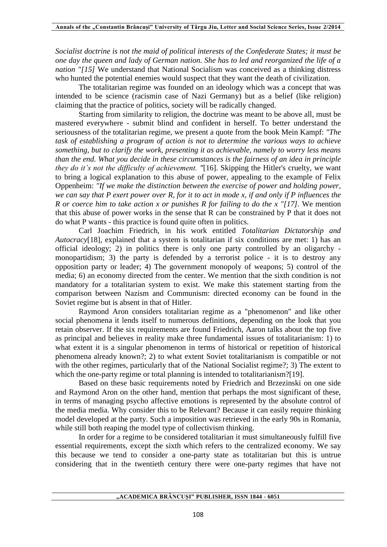*Socialist doctrine is not the maid of political interests of the Confederate States; it must be one day the queen and lady of German nation. She has to led and reorganized the life of a nation "[15]* We understand that National Socialism was conceived as a thinking distress who hunted the potential enemies would suspect that they want the death of civilization.

The totalitarian regime was founded on an ideology which was a concept that was intended to be science (racismin case of Nazi Germany) but as a belief (like religion) claiming that the practice of politics, society will be radically changed.

Starting from similarity to religion, the doctrine was meant to be above all, must be mastered everywhere - submit blind and confident in herself. To better understand the seriousness of the totalitarian regime, we present a quote from the book Mein Kampf: *"The task of establishing a program of action is not to determine the various ways to achieve something, but to clarify the work, presenting it as achievable, namely to worry less means than the end. What you decide in these circumstances is the fairness of an idea in principle they do it's not the difficulty of achievement. "*[16]. Skipping the Hitler's cruelty, we want to bring a logical explanation to this abuse of power, appealing to the example of Felix Oppenheim: *"If we make the distinction between the exercise of power and holding power, we can say that P exert power over R, for it to act in mode x, if and only if P influences the R or coerce him to take action x or punishes R for failing to do the x "[17].* We mention that this abuse of power works in the sense that R can be constrained by P that it does not do what P wants - this practice is found quite often in politics.

Carl Joachim Friedrich, in his work entitled *Totalitarian Dictatorship and Autocracy*[18], explained that a system is totalitarian if six conditions are met: 1) has an official ideology; 2) in politics there is only one party controlled by an oligarchy monopartidism; 3) the party is defended by a terrorist police - it is to destroy any opposition party or leader; 4) The government monopoly of weapons; 5) control of the media; 6) an economy directed from the center. We mention that the sixth condition is not mandatory for a totalitarian system to exist. We make this statement starting from the comparison between Nazism and Communism: directed economy can be found in the Soviet regime but is absent in that of Hitler.

Raymond Aron considers totalitarian regime as a "phenomenon" and like other social phenomena it lends itself to numerous definitions, depending on the look that you retain observer. If the six requirements are found Friedrich, Aaron talks about the top five as principal and believes in reality make three fundamental issues of totalitarianism: 1) to what extent it is a singular phenomenon in terms of historical or repetition of historical phenomena already known?; 2) to what extent Soviet totalitarianism is compatible or not with the other regimes, particularly that of the National Socialist regime?; 3) The extent to which the one-party regime or total planning is intended to totalitarianism?[19].

Based on these basic requirements noted by Friedrich and Brzezinski on one side and Raymond Aron on the other hand, mention that perhaps the most significant of these, in terms of managing psycho affective emotions is represented by the absolute control of the media media. Why consider this to be Relevant? Because it can easily require thinking model developed at the party. Such a imposition was retrieved in the early 90s in Romania, while still both reaping the model type of collectivism thinking.

In order for a regime to be considered totalitarian it must simultaneously fulfill five essential requirements, except the sixth which refers to the centralized economy. We say this because we tend to consider a one-party state as totalitarian but this is untrue considering that in the twentieth century there were one-party regimes that have not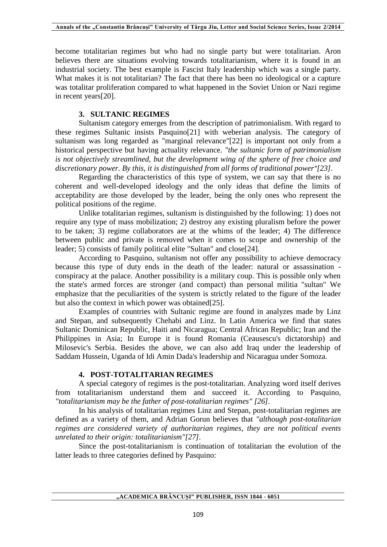become totalitarian regimes but who had no single party but were totalitarian. Aron believes there are situations evolving towards totalitarianism, where it is found in an industrial society. The best example is Fascist Italy leadership which was a single party. What makes it is not totalitarian? The fact that there has been no ideological or a capture was totalitar proliferation compared to what happened in the Soviet Union or Nazi regime in recent years[20].

## **3. SULTANIC REGIMES**

Sultanism category emerges from the description of patrimonialism. With regard to these regimes Sultanic insists Pasquino[21] with weberian analysis. The category of sultanism was long regarded as "marginal relevance"[22] is important not only from a historical perspective but having actuality relevance. *"the sultanic form of patrimonialism is not objectively streamlined, but the development wing of the sphere of free choice and discretionary power. By this, it is distinguished from all forms of traditional power"[23].*

Regarding the characteristics of this type of system, we can say that there is no coherent and well-developed ideology and the only ideas that define the limits of acceptability are those developed by the leader, being the only ones who represent the political positions of the regime.

Unlike totalitarian regimes, sultanism is distinguished by the following: 1) does not require any type of mass mobilization; 2) destroy any existing pluralism before the power to be taken; 3) regime collaborators are at the whims of the leader; 4) The difference between public and private is removed when it comes to scope and ownership of the leader; 5) consists of family political elite "Sultan" and close[24].

According to Pasquino, sultanism not offer any possibility to achieve democracy because this type of duty ends in the death of the leader: natural or assassination conspiracy at the palace. Another possibility is a military coup. This is possible only when the state's armed forces are stronger (and compact) than personal militia "sultan" We emphasize that the peculiarities of the system is strictly related to the figure of the leader but also the context in which power was obtained[25].

Examples of countries with Sultanic regime are found in analyzes made by Linz and Stepan, and subsequently Chehabi and Linz. In Latin America we find that states Sultanic Dominican Republic, Haiti and Nicaragua; Central African Republic; Iran and the Philippines in Asia; In Europe it is found Romania (Ceausescu's dictatorship) and Milosevic's Serbia. Besides the above, we can also add Iraq under the leadership of Saddam Hussein, Uganda of Idi Amin Dada's leadership and Nicaragua under Somoza.

## **4. POST-TOTALITARIAN REGIMES**

A special category of regimes is the post-totalitarian. Analyzing word itself derives from totalitarianism understand them and succeed it. According to Pasquino*, "totalitarianism may be the father of post-totalitarian regimes" [26].*

In his analysis of totalitarian regimes Linz and Stepan, post-totalitarian regimes are defined as a variety of them, and Adrian Gorun believes that *"although post-totalitarian regimes are considered variety of authoritarian regimes, they are not political events unrelated to their origin: totalitarianism"[27].*

Since the post-totalitarianism is continuation of totalitarian the evolution of the latter leads to three categories defined by Pasquino: